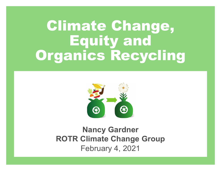# Climate Change, Equity and Organics Recycling



# **Nancy Gardner ROTR Climate Change Group** February 4, 2021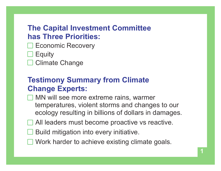#### **The Capital Investment Committee has Three Priorities:**

- Economic Recovery
- **Equity**
- Climate Change

## **Testimony Summary from Climate Change Experts:**

- **MN** will see more extreme rains, warmer temperatures, violent storms and changes to our ecology resulting in billions of dollars in damages.
- All leaders must become proactive vs reactive.
- Build mitigation into every initiative.
- Work harder to achieve existing climate goals.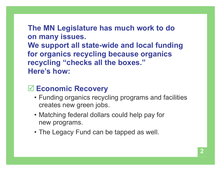**The MN Legislature has much work to do on many issues. We support all state-wide and local funding for organics recycling because organics recycling "checks all the boxes." Here's how:**

#### **Economic Recovery**

- Funding organics recycling programs and facilities creates new green jobs.
- Matching federal dollars could help pay for new programs.
- The Legacy Fund can be tapped as well.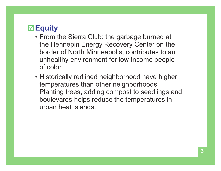## **Equity**

- From the Sierra Club: the garbage burned at the Hennepin Energy Recovery Center on the border of North Minneapolis, contributes to an unhealthy environment for low-income people of color.
- Historically redlined neighborhood have higher temperatures than other neighborhoods. Planting trees, adding compost to seedlings and boulevards helps reduce the temperatures in urban heat islands.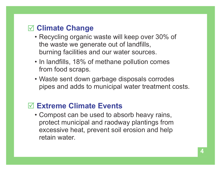#### **Climate Change**

- Recycling organic waste will keep over 30% of the waste we generate out of landfills, burning facilities and our water sources.
- In landfills, 18% of methane pollution comes from food scraps.
- Waste sent down garbage disposals corrodes pipes and adds to municipal water treatment costs.

## **Extreme Climate Events**

 • Compost can be used to absorb heavy rains, protect municipal and raodway plantings from excessive heat, prevent soil erosion and help retain water.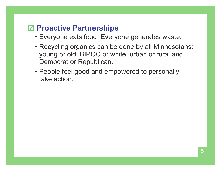#### **Proactive Partnerships**

- Everyone eats food. Everyone generates waste.
- Recycling organics can be done by all Minnesotans: young or old, BIPOC or white, urban or rural and Democrat or Republican.
- People feel good and empowered to personally take action.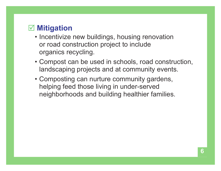#### **Mitigation**

- Incentivize new buildings, housing renovation or road construction project to include organics recycling.
- Compost can be used in schools, road construction, landscaping projects and at community events.
- Composting can nurture community gardens, helping feed those living in under-served neighborhoods and building healthier families.